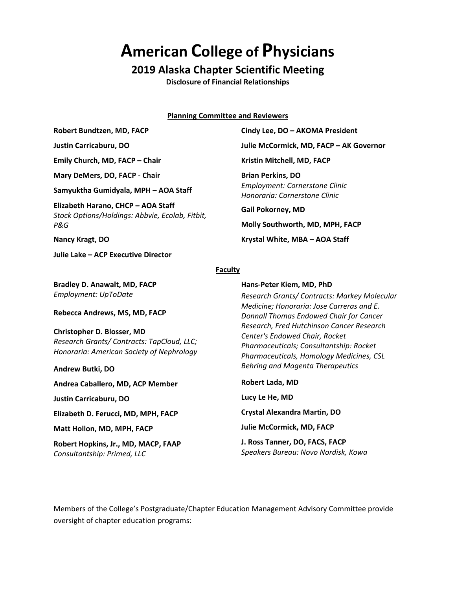# **American College of Physicians**

# **2019 Alaska Chapter Scientific Meeting**

**Disclosure of Financial Relationships**

**Planning Committee and Reviewers**

**Robert Bundtzen, MD, FACP**

**Justin Carricaburu, DO**

**Emily Church, MD, FACP – Chair**

**Mary DeMers, DO, FACP - Chair**

**Samyuktha Gumidyala, MPH – AOA Staff**

**Elizabeth Harano, CHCP – AOA Staff** *Stock Options/Holdings: Abbvie, Ecolab, Fitbit, P&G*

**Nancy Kragt, DO**

**Julie Lake – ACP Executive Director**

**Bradley D. Anawalt, MD, FACP** *Employment: UpToDate*

**Rebecca Andrews, MS, MD, FACP**

#### **Christopher D. Blosser, MD**

*Research Grants/ Contracts: TapCloud, LLC; Honoraria: American Society of Nephrology*

**Andrew Butki, DO**

**Andrea Caballero, MD, ACP Member**

**Justin Carricaburu, DO**

**Elizabeth D. Ferucci, MD, MPH, FACP**

**Matt Hollon, MD, MPH, FACP**

**Robert Hopkins, Jr., MD, MACP, FAAP** *Consultantship: Primed, LLC*

**Cindy Lee, DO – AKOMA President Julie McCormick, MD, FACP – AK Governor Kristin Mitchell, MD, FACP Brian Perkins, DO** *Employment: Cornerstone Clinic Honoraria: Cornerstone Clinic*

**Gail Pokorney, MD**

**Molly Southworth, MD, MPH, FACP**

**Krystal White, MBA – AOA Staff**

## **Faculty**

**Hans-Peter Kiem, MD, PhD** *Research Grants/ Contracts: Markey Molecular Medicine; Honoraria: Jose Carreras and E. Donnall Thomas Endowed Chair for Cancer Research, Fred Hutchinson Cancer Research Center's Endowed Chair, Rocket Pharmaceuticals; Consultantship: Rocket Pharmaceuticals, Homology Medicines, CSL Behring and Magenta Therapeutics*

**Robert Lada, MD Lucy Le He, MD Crystal Alexandra Martin, DO Julie McCormick, MD, FACP**

**J. Ross Tanner, DO, FACS, FACP** *Speakers Bureau: Novo Nordisk, Kowa*

Members of the College's Postgraduate/Chapter Education Management Advisory Committee provide oversight of chapter education programs: